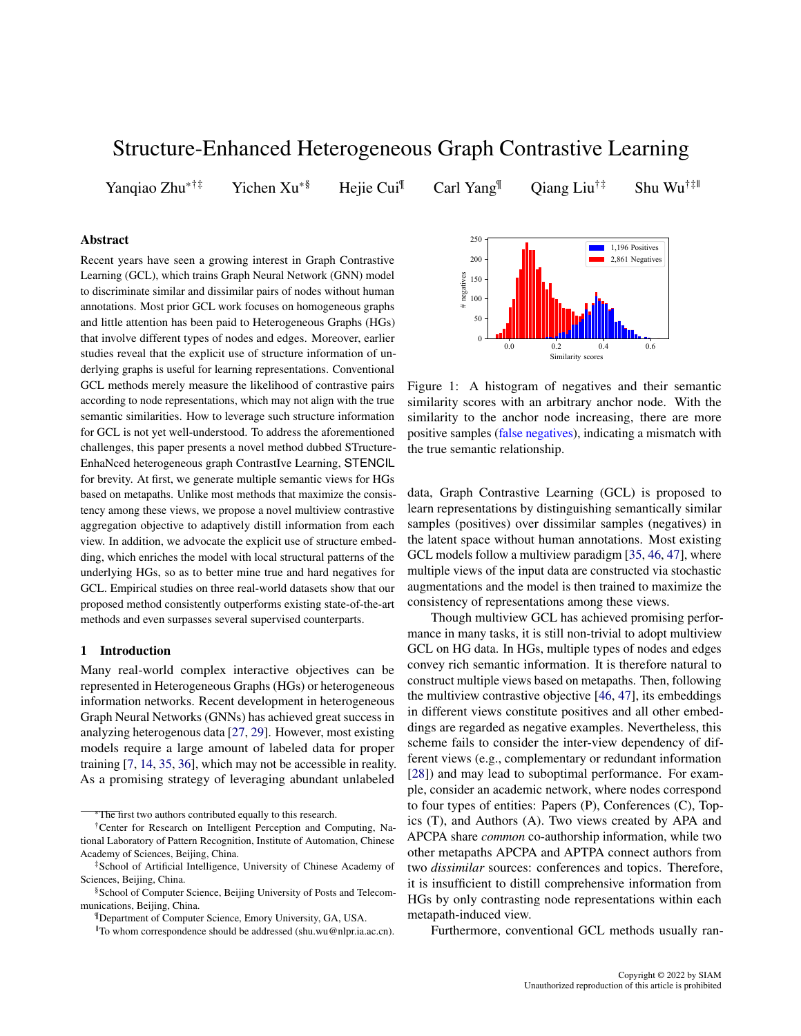# Structure-Enhanced Heterogeneous Graph Contrastive Learning

Yanqiao Zhu<sup>\*†‡</sup> Yichen Xu<sup>\*§</sup> Hejie Cui<sup>¶</sup> Carl Yang<sup>¶</sup> Qiang Liu<sup>†‡</sup> Shu Wu<sup>†‡∥</sup>

## Abstract

Recent years have seen a growing interest in Graph Contrastive Learning (GCL), which trains Graph Neural Network (GNN) model to discriminate similar and dissimilar pairs of nodes without human annotations. Most prior GCL work focuses on homogeneous graphs and little attention has been paid to Heterogeneous Graphs (HGs) that involve different types of nodes and edges. Moreover, earlier studies reveal that the explicit use of structure information of underlying graphs is useful for learning representations. Conventional GCL methods merely measure the likelihood of contrastive pairs according to node representations, which may not align with the true semantic similarities. How to leverage such structure information for GCL is not yet well-understood. To address the aforementioned challenges, this paper presents a novel method dubbed STructure-EnhaNced heterogeneous graph ContrastIve Learning, STENCIL for brevity. At first, we generate multiple semantic views for HGs based on metapaths. Unlike most methods that maximize the consistency among these views, we propose a novel multiview contrastive aggregation objective to adaptively distill information from each view. In addition, we advocate the explicit use of structure embedding, which enriches the model with local structural patterns of the underlying HGs, so as to better mine true and hard negatives for GCL. Empirical studies on three real-world datasets show that our proposed method consistently outperforms existing state-of-the-art methods and even surpasses several supervised counterparts.

#### 1 Introduction

Many real-world complex interactive objectives can be represented in Heterogeneous Graphs (HGs) or heterogeneous information networks. Recent development in heterogeneous Graph Neural Networks (GNNs) has achieved great success in analyzing heterogenous data [\[27,](#page-8-0) [29\]](#page-8-1). However, most existing models require a large amount of labeled data for proper training [\[7,](#page-7-0) [14,](#page-8-2) [35,](#page-8-3) [36\]](#page-8-4), which may not be accessible in reality. As a promising strategy of leveraging abundant unlabeled

<span id="page-0-0"></span>

Figure 1: A histogram of negatives and their semantic similarity scores with an arbitrary anchor node. With the similarity to the anchor node increasing, there are more positive samples (false negatives), indicating a mismatch with the true semantic relationship.

data, Graph Contrastive Learning (GCL) is proposed to learn representations by distinguishing semantically similar samples (positives) over dissimilar samples (negatives) in the latent space without human annotations. Most existing GCL models follow a multiview paradigm [\[35,](#page-8-3) [46,](#page-8-5) [47\]](#page-8-6), where multiple views of the input data are constructed via stochastic augmentations and the model is then trained to maximize the consistency of representations among these views.

Though multiview GCL has achieved promising performance in many tasks, it is still non-trivial to adopt multiview GCL on HG data. In HGs, multiple types of nodes and edges convey rich semantic information. It is therefore natural to construct multiple views based on metapaths. Then, following the multiview contrastive objective [\[46,](#page-8-5) [47\]](#page-8-6), its embeddings in different views constitute positives and all other embeddings are regarded as negative examples. Nevertheless, this scheme fails to consider the inter-view dependency of different views (e.g., complementary or redundant information [\[28\]](#page-8-7)) and may lead to suboptimal performance. For example, consider an academic network, where nodes correspond to four types of entities: Papers (P), Conferences (C), Topics (T), and Authors (A). Two views created by APA and APCPA share *common* co-authorship information, while two other metapaths APCPA and APTPA connect authors from two *dissimilar* sources: conferences and topics. Therefore, it is insufficient to distill comprehensive information from HGs by only contrasting node representations within each metapath-induced view.

Furthermore, conventional GCL methods usually ran-

The first two authors contributed equally to this research.

<sup>†</sup>Center for Research on Intelligent Perception and Computing, National Laboratory of Pattern Recognition, Institute of Automation, Chinese Academy of Sciences, Beijing, China.

<sup>‡</sup>School of Artificial Intelligence, University of Chinese Academy of Sciences, Beijing, China.

<sup>§</sup>School of Computer Science, Beijing University of Posts and Telecommunications, Beijing, China.

<sup>¶</sup>Department of Computer Science, Emory University, GA, USA.

<sup>||</sup>To whom correspondence should be addressed (shu.wu@nlpr.ia.ac.cn).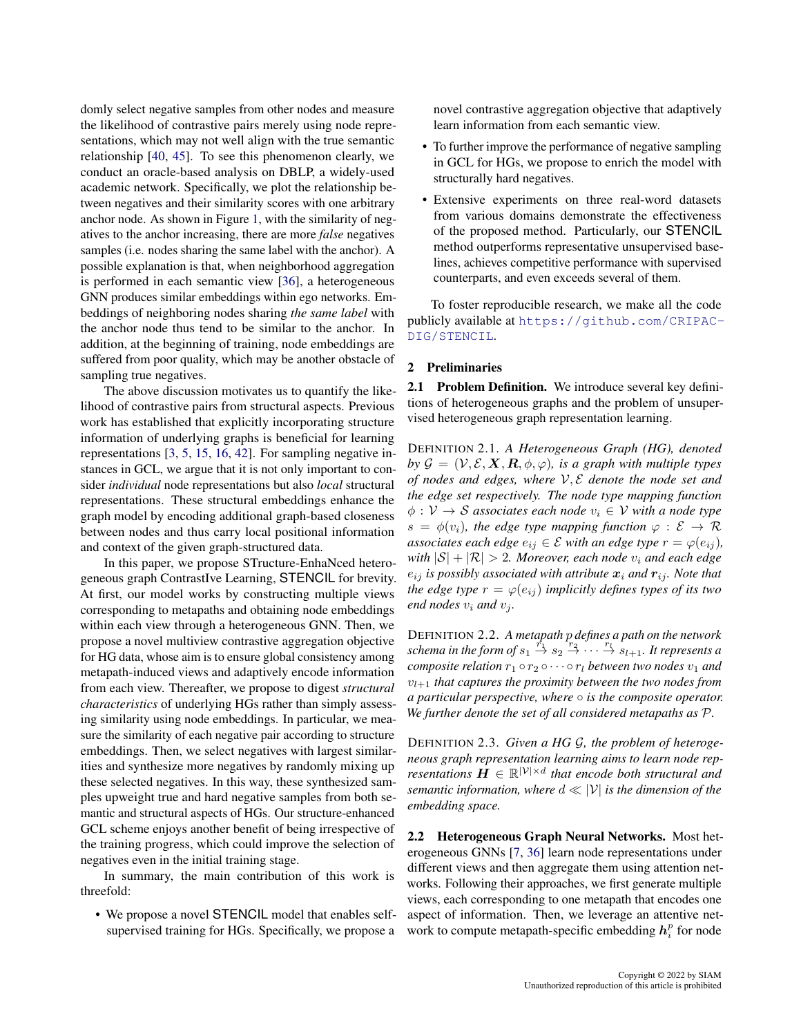domly select negative samples from other nodes and measure the likelihood of contrastive pairs merely using node representations, which may not well align with the true semantic relationship [\[40,](#page-8-8) [45\]](#page-8-9). To see this phenomenon clearly, we conduct an oracle-based analysis on DBLP, a widely-used academic network. Specifically, we plot the relationship between negatives and their similarity scores with one arbitrary anchor node. As shown in Figure [1,](#page-0-0) with the similarity of negatives to the anchor increasing, there are more *false* negatives samples (i.e. nodes sharing the same label with the anchor). A possible explanation is that, when neighborhood aggregation is performed in each semantic view [\[36\]](#page-8-4), a heterogeneous GNN produces similar embeddings within ego networks. Embeddings of neighboring nodes sharing *the same label* with the anchor node thus tend to be similar to the anchor. In addition, at the beginning of training, node embeddings are suffered from poor quality, which may be another obstacle of sampling true negatives.

The above discussion motivates us to quantify the likelihood of contrastive pairs from structural aspects. Previous work has established that explicitly incorporating structure information of underlying graphs is beneficial for learning representations [\[3,](#page-7-1) [5,](#page-7-2) [15,](#page-8-10) [16,](#page-8-11) [42\]](#page-8-12). For sampling negative instances in GCL, we argue that it is not only important to consider *individual* node representations but also *local* structural representations. These structural embeddings enhance the graph model by encoding additional graph-based closeness between nodes and thus carry local positional information and context of the given graph-structured data.

In this paper, we propose STructure-EnhaNced heterogeneous graph ContrastIve Learning, STENCIL for brevity. At first, our model works by constructing multiple views corresponding to metapaths and obtaining node embeddings within each view through a heterogeneous GNN. Then, we propose a novel multiview contrastive aggregation objective for HG data, whose aim is to ensure global consistency among metapath-induced views and adaptively encode information from each view. Thereafter, we propose to digest *structural characteristics* of underlying HGs rather than simply assessing similarity using node embeddings. In particular, we measure the similarity of each negative pair according to structure embeddings. Then, we select negatives with largest similarities and synthesize more negatives by randomly mixing up these selected negatives. In this way, these synthesized samples upweight true and hard negative samples from both semantic and structural aspects of HGs. Our structure-enhanced GCL scheme enjoys another benefit of being irrespective of the training progress, which could improve the selection of negatives even in the initial training stage.

In summary, the main contribution of this work is threefold:

• We propose a novel STENCIL model that enables selfsupervised training for HGs. Specifically, we propose a

novel contrastive aggregation objective that adaptively learn information from each semantic view.

- To further improve the performance of negative sampling in GCL for HGs, we propose to enrich the model with structurally hard negatives.
- Extensive experiments on three real-word datasets from various domains demonstrate the effectiveness of the proposed method. Particularly, our STENCIL method outperforms representative unsupervised baselines, achieves competitive performance with supervised counterparts, and even exceeds several of them.

To foster reproducible research, we make all the code publicly available at [https://github.com/CRIPAC-](https://github.com/CRIPAC-DIG/STENCIL)[DIG/STENCIL](https://github.com/CRIPAC-DIG/STENCIL).

## 2 Preliminaries

2.1 Problem Definition. We introduce several key definitions of heterogeneous graphs and the problem of unsupervised heterogeneous graph representation learning.

DEFINITION 2.1. *A Heterogeneous Graph (HG), denoted by*  $G = (V, \mathcal{E}, \mathbf{X}, \mathbf{R}, \phi, \varphi)$ *, is a graph with multiple types of nodes and edges, where* V, E *denote the node set and the edge set respectively. The node type mapping function*  $\phi : V \to S$  *associates each node*  $v_i \in V$  *with a node type*  $s = \phi(v_i)$ , the edge type mapping function  $\varphi : \mathcal{E} \to \mathcal{R}$ *associates each edge*  $e_{ij} \in \mathcal{E}$  *with an edge type*  $r = \varphi(e_{ij})$ *, with*  $|S| + |\mathcal{R}| > 2$ *. Moreover, each node*  $v_i$  *and each edge*  $e_{ij}$  *is possibly associated with attribute*  $x_i$  *and*  $r_{ij}$ *. Note that the edge type*  $r = \varphi(e_{ij})$  *implicitly defines types of its two end nodes*  $v_i$  *and*  $v_j$ *.* 

DEFINITION 2.2. *A metapath* p *defines a path on the network* schema in the form of  $s_1 \stackrel{r_1}{\rightarrow} s_2 \stackrel{r_2}{\rightarrow} \cdots \stackrel{r_l}{\rightarrow} s_{l+1}$ . It represents a *composite relation*  $r_1 \circ r_2 \circ \cdots \circ r_l$  *between two nodes*  $v_1$  *and*  $v_{l+1}$  *that captures the proximity between the two nodes from a particular perspective, where* ◦ *is the composite operator. We further denote the set of all considered metapaths as* P*.*

DEFINITION 2.3. *Given a HG* G*, the problem of heterogeneous graph representation learning aims to learn node representations*  $\mathbf{H} \in \mathbb{R}^{|\mathcal{V}| \times d}$  that encode both structural and *semantic information, where* d ≪ |V| *is the dimension of the embedding space.*

<span id="page-1-0"></span>2.2 Heterogeneous Graph Neural Networks. Most heterogeneous GNNs [\[7,](#page-7-0) [36\]](#page-8-4) learn node representations under different views and then aggregate them using attention networks. Following their approaches, we first generate multiple views, each corresponding to one metapath that encodes one aspect of information. Then, we leverage an attentive network to compute metapath-specific embedding  $h_i^p$  for node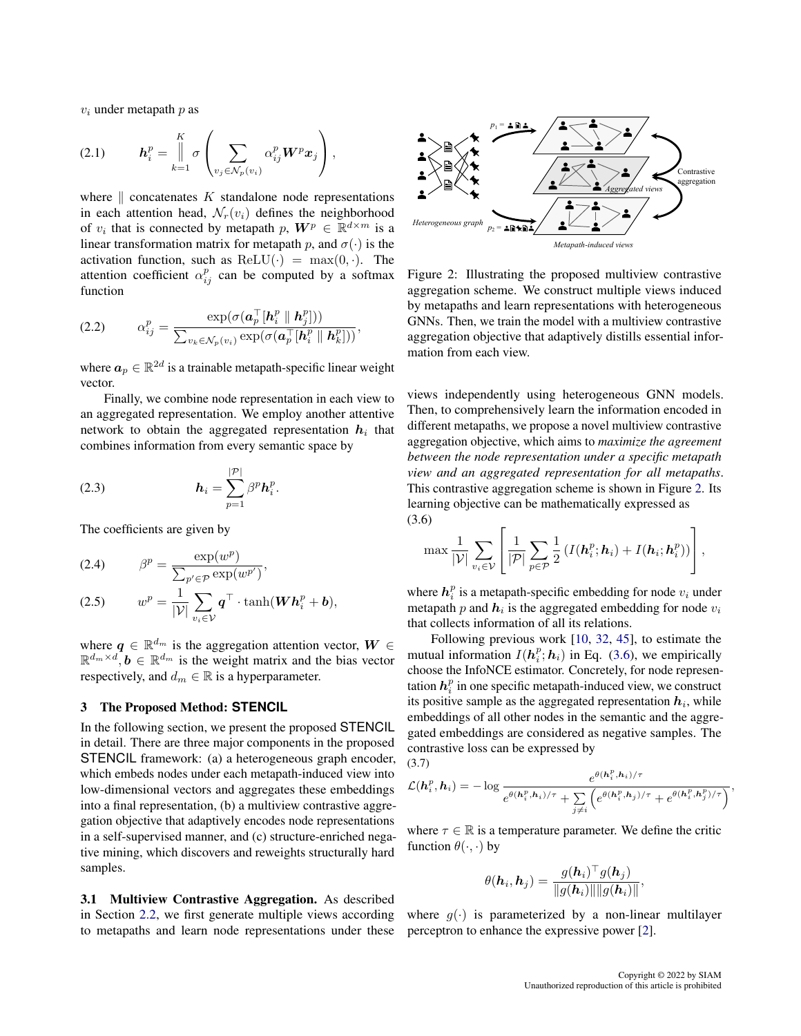$v_i$  under metapath  $p$  as

$$
(2.1) \t\t\t \boldsymbol{h}_{i}^{p} = \bigg\|_{k=1}^{K} \sigma \left( \sum_{v_{j} \in \mathcal{N}_{p}(v_{i})} \alpha_{ij}^{p} \boldsymbol{W}^{p} \boldsymbol{x}_{j} \right),
$$

where  $\parallel$  concatenates K standalone node representations in each attention head,  $\mathcal{N}_r(v_i)$  defines the neighborhood of  $v_i$  that is connected by metapath  $p$ ,  $\mathbf{W}^p \in \mathbb{R}^{d \times m}$  is a linear transformation matrix for metapath p, and  $\sigma(\cdot)$  is the activation function, such as  $ReLU(·) = max(0, ·)$ . The attention coefficient  $\alpha_{ij}^p$  can be computed by a softmax function

$$
(2.2) \qquad \alpha_{ij}^p = \frac{\exp(\sigma(\mathbf{a}_p^\top[\mathbf{h}_i^p \parallel \mathbf{h}_j^p]))}{\sum_{v_k \in \mathcal{N}_p(v_i)} \exp(\sigma(\mathbf{a}_p^\top[\mathbf{h}_i^p \parallel \mathbf{h}_k^p]))},
$$

where  $a_p \in \mathbb{R}^{2d}$  is a trainable metapath-specific linear weight vector.

Finally, we combine node representation in each view to an aggregated representation. We employ another attentive network to obtain the aggregated representation  $h_i$  that combines information from every semantic space by

(2.3) 
$$
\boldsymbol{h}_i = \sum_{p=1}^{|\mathcal{P}|} \beta^p \boldsymbol{h}_i^p.
$$

The coefficients are given by

$$
(2.4) \t\t \beta^p = \frac{\exp(w^p)}{\sum_{p' \in \mathcal{P}} \exp(w^{p'})},
$$

$$
(2.5) \t wp = \frac{1}{|\mathcal{V}|} \sum_{v_i \in \mathcal{V}} \boldsymbol{q}^\top \cdot \tanh(\boldsymbol{W}\boldsymbol{h}_i^p + \boldsymbol{b}),
$$

where  $q \in \mathbb{R}^{d_m}$  is the aggregation attention vector,  $W \in$  $\mathbb{R}^{d_m \times d}, \mathbf{b} \in \mathbb{R}^{d_m}$  is the weight matrix and the bias vector respectively, and  $d_m \in \mathbb{R}$  is a hyperparameter.

#### 3 The Proposed Method: **STENCIL**

In the following section, we present the proposed STENCIL in detail. There are three major components in the proposed STENCIL framework: (a) a heterogeneous graph encoder, which embeds nodes under each metapath-induced view into low-dimensional vectors and aggregates these embeddings into a final representation, (b) a multiview contrastive aggregation objective that adaptively encodes node representations in a self-supervised manner, and (c) structure-enriched negative mining, which discovers and reweights structurally hard samples.

3.1 Multiview Contrastive Aggregation. As described in Section [2.2,](#page-1-0) we first generate multiple views according to metapaths and learn node representations under these

<span id="page-2-0"></span>

Figure 2: Illustrating the proposed multiview contrastive aggregation scheme. We construct multiple views induced by metapaths and learn representations with heterogeneous GNNs. Then, we train the model with a multiview contrastive aggregation objective that adaptively distills essential information from each view.

views independently using heterogeneous GNN models. Then, to comprehensively learn the information encoded in different metapaths, we propose a novel multiview contrastive aggregation objective, which aims to *maximize the agreement between the node representation under a specific metapath view and an aggregated representation for all metapaths*. This contrastive aggregation scheme is shown in Figure [2.](#page-2-0) Its learning objective can be mathematically expressed as (3.6)

<span id="page-2-1"></span>
$$
\max \frac{1}{|\mathcal{V}|} \sum_{v_i \in \mathcal{V}} \left[ \frac{1}{|\mathcal{P}|} \sum_{p \in \mathcal{P}} \frac{1}{2} \left( I(\boldsymbol{h}_i^p; \boldsymbol{h}_i) + I(\boldsymbol{h}_i; \boldsymbol{h}_i^p) \right) \right],
$$

where  $h_i^p$  is a metapath-specific embedding for node  $v_i$  under metapath p and  $h_i$  is the aggregated embedding for node  $v_i$ that collects information of all its relations.

Following previous work [\[10,](#page-7-3) [32,](#page-8-13) [45\]](#page-8-9), to estimate the mutual information  $I(h_i^p; h_i)$  in Eq. [\(3.6\)](#page-2-1), we empirically choose the InfoNCE estimator. Concretely, for node representation  $h_i^p$  in one specific metapath-induced view, we construct its positive sample as the aggregated representation  $h_i$ , while embeddings of all other nodes in the semantic and the aggregated embeddings are considered as negative samples. The contrastive loss can be expressed by (3.7)

$$
\mathcal{L}(\mathbf{h}_i^p, \mathbf{h}_i) = -\log \frac{e^{\theta(\mathbf{h}_i^p, \mathbf{h}_i)/\tau}}{e^{\theta(\mathbf{h}_i^p, \mathbf{h}_i)/\tau} + \sum\limits_{j \neq i} \left(e^{\theta(\mathbf{h}_i^p, \mathbf{h}_j)/\tau} + e^{\theta(\mathbf{h}_i^p, \mathbf{h}_j^p)/\tau}\right)},
$$

where  $\tau \in \mathbb{R}$  is a temperature parameter. We define the critic function  $\theta(\cdot, \cdot)$  by

$$
\theta(\boldsymbol{h}_i, \boldsymbol{h}_j) = \frac{g(\boldsymbol{h}_i)^\top g(\boldsymbol{h}_j)}{\|g(\boldsymbol{h}_i)\|\|g(\boldsymbol{h}_i)\|},
$$

where  $q(\cdot)$  is parameterized by a non-linear multilayer perceptron to enhance the expressive power [\[2\]](#page-7-4).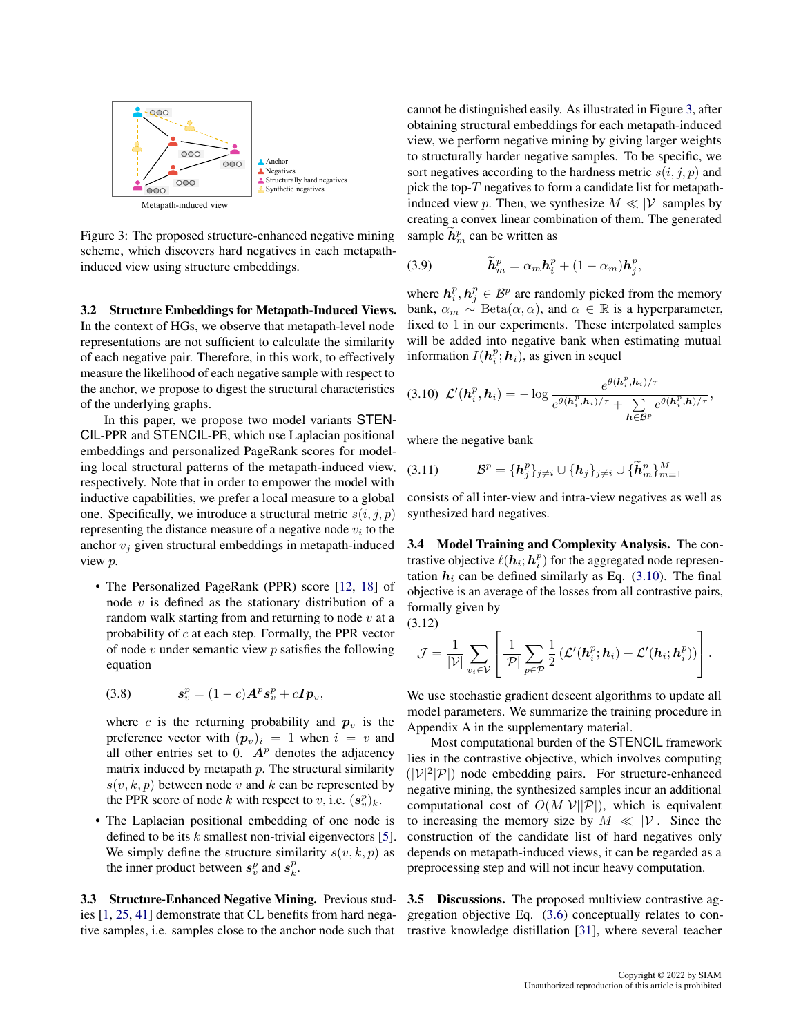<span id="page-3-0"></span>

Figure 3: The proposed structure-enhanced negative mining scheme, which discovers hard negatives in each metapathinduced view using structure embeddings.

3.2 Structure Embeddings for Metapath-Induced Views. In the context of HGs, we observe that metapath-level node representations are not sufficient to calculate the similarity of each negative pair. Therefore, in this work, to effectively measure the likelihood of each negative sample with respect to the anchor, we propose to digest the structural characteristics of the underlying graphs.

In this paper, we propose two model variants STEN-CIL-PPR and STENCIL-PE, which use Laplacian positional embeddings and personalized PageRank scores for modeling local structural patterns of the metapath-induced view, respectively. Note that in order to empower the model with inductive capabilities, we prefer a local measure to a global one. Specifically, we introduce a structural metric  $s(i, j, p)$ representing the distance measure of a negative node  $v_i$  to the anchor  $v_i$  given structural embeddings in metapath-induced view p.

• The Personalized PageRank (PPR) score [\[12,](#page-8-14) [18\]](#page-8-15) of node  $v$  is defined as the stationary distribution of a random walk starting from and returning to node  $v$  at a probability of  $c$  at each step. Formally, the PPR vector of node  $v$  under semantic view  $p$  satisfies the following equation

$$
(3.8) \t\t s_v^p = (1-c)A^p s_v^p + cI p_v,
$$

where c is the returning probability and  $p_v$  is the preference vector with  $(p_v)_i = 1$  when  $i = v$  and all other entries set to 0.  $A<sup>p</sup>$  denotes the adjacency matrix induced by metapath  $p$ . The structural similarity  $s(v, k, p)$  between node v and k can be represented by the PPR score of node k with respect to v, i.e.  $(s_v^p)_k$ .

• The Laplacian positional embedding of one node is defined to be its  $k$  smallest non-trivial eigenvectors [\[5\]](#page-7-2). We simply define the structure similarity  $s(v, k, p)$  as the inner product between  $s_v^p$  and  $s_k^p$ .

3.3 Structure-Enhanced Negative Mining. Previous studies [\[1,](#page-7-5) [25,](#page-8-16) [41\]](#page-8-17) demonstrate that CL benefits from hard negative samples, i.e. samples close to the anchor node such that

cannot be distinguished easily. As illustrated in Figure [3,](#page-3-0) after obtaining structural embeddings for each metapath-induced view, we perform negative mining by giving larger weights to structurally harder negative samples. To be specific, we sort negatives according to the hardness metric  $s(i, j, p)$  and pick the top- $T$  negatives to form a candidate list for metapathinduced view p. Then, we synthesize  $M \ll |\mathcal{V}|$  samples by creating a convex linear combination of them. The generated sample  $\tilde{h}_m^p$  can be written as

(3.9) 
$$
\widetilde{\boldsymbol{h}}_m^p = \alpha_m \boldsymbol{h}_i^p + (1 - \alpha_m) \boldsymbol{h}_j^p,
$$

where  $h_i^p, h_j^p \in \mathcal{B}^p$  are randomly picked from the memory bank,  $\alpha_m \sim \text{Beta}(\alpha, \alpha)$ , and  $\alpha \in \mathbb{R}$  is a hyperparameter, fixed to 1 in our experiments. These interpolated samples will be added into negative bank when estimating mutual information  $I(h_i^p; h_i)$ , as given in sequel

<span id="page-3-1"></span>
$$
(3.10) \mathcal{L}'(\boldsymbol{h}_i^p, \boldsymbol{h}_i) = -\log \frac{e^{\theta(\boldsymbol{h}_i^p, \boldsymbol{h}_i)/\tau}}{e^{\theta(\boldsymbol{h}_i^p, \boldsymbol{h}_i)/\tau} + \sum_{\boldsymbol{h} \in \mathcal{B}^p} e^{\theta(\boldsymbol{h}_i^p, \boldsymbol{h})/\tau}},
$$

where the negative bank

$$
(3.11) \t\t \mathcal{B}^p = {\{\mathbf{h}_j^p\}_{j\neq i}} \cup {\{\mathbf{h}_j\}_{j\neq i}} \cup {\{\widetilde{\mathbf{h}}_m^p\}_{m=1}^M}
$$

consists of all inter-view and intra-view negatives as well as synthesized hard negatives.

3.4 Model Training and Complexity Analysis. The contrastive objective  $\ell(h_i; h_i^p)$  for the aggregated node representation  $h_i$  can be defined similarly as Eq. [\(3.10\)](#page-3-1). The final objective is an average of the losses from all contrastive pairs, formally given by

(3.12)

$$
\mathcal{J} = \frac{1}{|\mathcal{V}|} \sum_{v_i \in \mathcal{V}} \left[ \frac{1}{|\mathcal{P}|} \sum_{p \in \mathcal{P}} \frac{1}{2} \left( \mathcal{L}'(\boldsymbol{h}_i^p; \boldsymbol{h}_i) + \mathcal{L}'(\boldsymbol{h}_i; \boldsymbol{h}_i^p) \right) \right].
$$

We use stochastic gradient descent algorithms to update all model parameters. We summarize the training procedure in Appendix A in the supplementary material.

Most computational burden of the STENCIL framework lies in the contrastive objective, which involves computing  $(|V|^2 |P|)$  node embedding pairs. For structure-enhanced negative mining, the synthesized samples incur an additional computational cost of  $O(M|\mathcal{V}||\mathcal{P}|)$ , which is equivalent to increasing the memory size by  $M \ll |\mathcal{V}|$ . Since the construction of the candidate list of hard negatives only depends on metapath-induced views, it can be regarded as a preprocessing step and will not incur heavy computation.

3.5 Discussions. The proposed multiview contrastive aggregation objective Eq. [\(3.6\)](#page-2-1) conceptually relates to contrastive knowledge distillation [\[31\]](#page-8-18), where several teacher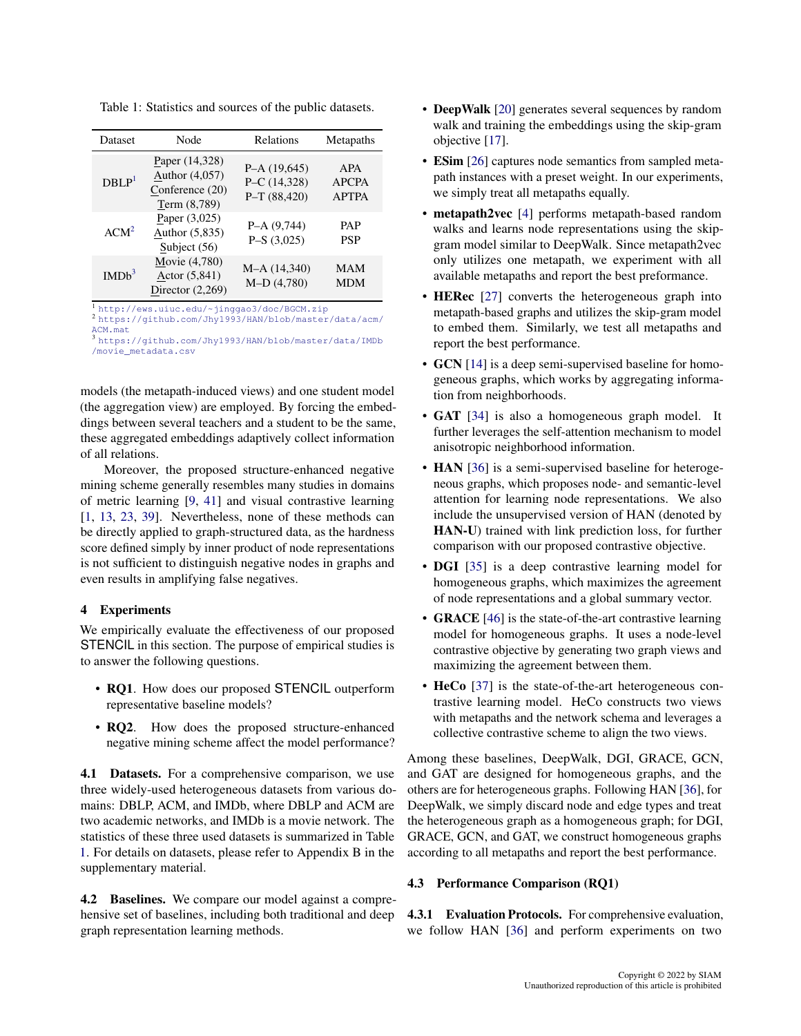| Dataset           | Node                                                                | Relations                                        | Metapaths                                  |  |  |
|-------------------|---------------------------------------------------------------------|--------------------------------------------------|--------------------------------------------|--|--|
| DBLP <sup>1</sup> | Paper (14,328)<br>Author (4,057)<br>Conference (20)<br>Term (8,789) | $P-A(19,645)$<br>$P-C(14,328)$<br>$P-T (88,420)$ | <b>APA</b><br><b>APCPA</b><br><b>APTPA</b> |  |  |
| ACM <sup>2</sup>  | Paper (3,025)<br>Author $(5,835)$<br>Subject (56)                   | $P-A(9,744)$<br>$P-S(3,025)$                     | <b>PAP</b><br><b>PSP</b>                   |  |  |
| IMDb <sup>3</sup> | Movie (4,780)<br>Actor (5,841)<br>Director $(2,269)$                | $M-A(14,340)$<br>$M-D(4,780)$                    | <b>MAM</b><br><b>MDM</b>                   |  |  |

<span id="page-4-3"></span>Table 1: Statistics and sources of the public datasets.

<span id="page-4-0"></span><sup>1</sup> <http://ews.uiuc.edu/~jinggao3/doc/BGCM.zip>

<span id="page-4-1"></span><sup>2</sup> [https://github.com/Jhy1993/HAN/blob/master/data/acm/](https://github.com/Jhy1993/HAN/blob/master/data/acm/ACM.mat)

[ACM.mat](https://github.com/Jhy1993/HAN/blob/master/data/acm/ACM.mat)

<span id="page-4-2"></span><sup>3</sup> [https://github.com/Jhy1993/HAN/blob/master/data/IMDb](https://github.com/Jhy1993/HAN/blob/master/data/IMDb/movie_metadata.csv) [/movie\\_metadata.csv](https://github.com/Jhy1993/HAN/blob/master/data/IMDb/movie_metadata.csv)

models (the metapath-induced views) and one student model (the aggregation view) are employed. By forcing the embeddings between several teachers and a student to be the same, these aggregated embeddings adaptively collect information of all relations.

Moreover, the proposed structure-enhanced negative mining scheme generally resembles many studies in domains of metric learning [\[9,](#page-7-6) [41\]](#page-8-17) and visual contrastive learning [\[1,](#page-7-5) [13,](#page-8-19) [23,](#page-8-20) [39\]](#page-8-21). Nevertheless, none of these methods can be directly applied to graph-structured data, as the hardness score defined simply by inner product of node representations is not sufficient to distinguish negative nodes in graphs and even results in amplifying false negatives.

## 4 Experiments

We empirically evaluate the effectiveness of our proposed STENCIL in this section. The purpose of empirical studies is to answer the following questions.

- RQ1. How does our proposed STENCIL outperform representative baseline models?
- RQ2. How does the proposed structure-enhanced negative mining scheme affect the model performance?

4.1 Datasets. For a comprehensive comparison, we use three widely-used heterogeneous datasets from various domains: DBLP, ACM, and IMDb, where DBLP and ACM are two academic networks, and IMDb is a movie network. The statistics of these three used datasets is summarized in Table [1.](#page-4-3) For details on datasets, please refer to Appendix B in the supplementary material.

4.2 Baselines. We compare our model against a comprehensive set of baselines, including both traditional and deep graph representation learning methods.

- DeepWalk [\[20\]](#page-8-22) generates several sequences by random walk and training the embeddings using the skip-gram objective [\[17\]](#page-8-23).
- **ESim** [\[26\]](#page-8-24) captures node semantics from sampled metapath instances with a preset weight. In our experiments, we simply treat all metapaths equally.
- metapath2vec [\[4\]](#page-7-7) performs metapath-based random walks and learns node representations using the skipgram model similar to DeepWalk. Since metapath2vec only utilizes one metapath, we experiment with all available metapaths and report the best preformance.
- **HERec** [\[27\]](#page-8-0) converts the heterogeneous graph into metapath-based graphs and utilizes the skip-gram model to embed them. Similarly, we test all metapaths and report the best performance.
- GCN [\[14\]](#page-8-2) is a deep semi-supervised baseline for homogeneous graphs, which works by aggregating information from neighborhoods.
- GAT [\[34\]](#page-8-25) is also a homogeneous graph model. It further leverages the self-attention mechanism to model anisotropic neighborhood information.
- HAN [\[36\]](#page-8-4) is a semi-supervised baseline for heterogeneous graphs, which proposes node- and semantic-level attention for learning node representations. We also include the unsupervised version of HAN (denoted by HAN-U) trained with link prediction loss, for further comparison with our proposed contrastive objective.
- **DGI** [\[35\]](#page-8-3) is a deep contrastive learning model for homogeneous graphs, which maximizes the agreement of node representations and a global summary vector.
- GRACE [\[46\]](#page-8-5) is the state-of-the-art contrastive learning model for homogeneous graphs. It uses a node-level contrastive objective by generating two graph views and maximizing the agreement between them.
- HeCo [\[37\]](#page-8-26) is the state-of-the-art heterogeneous contrastive learning model. HeCo constructs two views with metapaths and the network schema and leverages a collective contrastive scheme to align the two views.

Among these baselines, DeepWalk, DGI, GRACE, GCN, and GAT are designed for homogeneous graphs, and the others are for heterogeneous graphs. Following HAN [\[36\]](#page-8-4), for DeepWalk, we simply discard node and edge types and treat the heterogeneous graph as a homogeneous graph; for DGI, GRACE, GCN, and GAT, we construct homogeneous graphs according to all metapaths and report the best performance.

## 4.3 Performance Comparison (RQ1)

4.3.1 Evaluation Protocols. For comprehensive evaluation, we follow HAN [\[36\]](#page-8-4) and perform experiments on two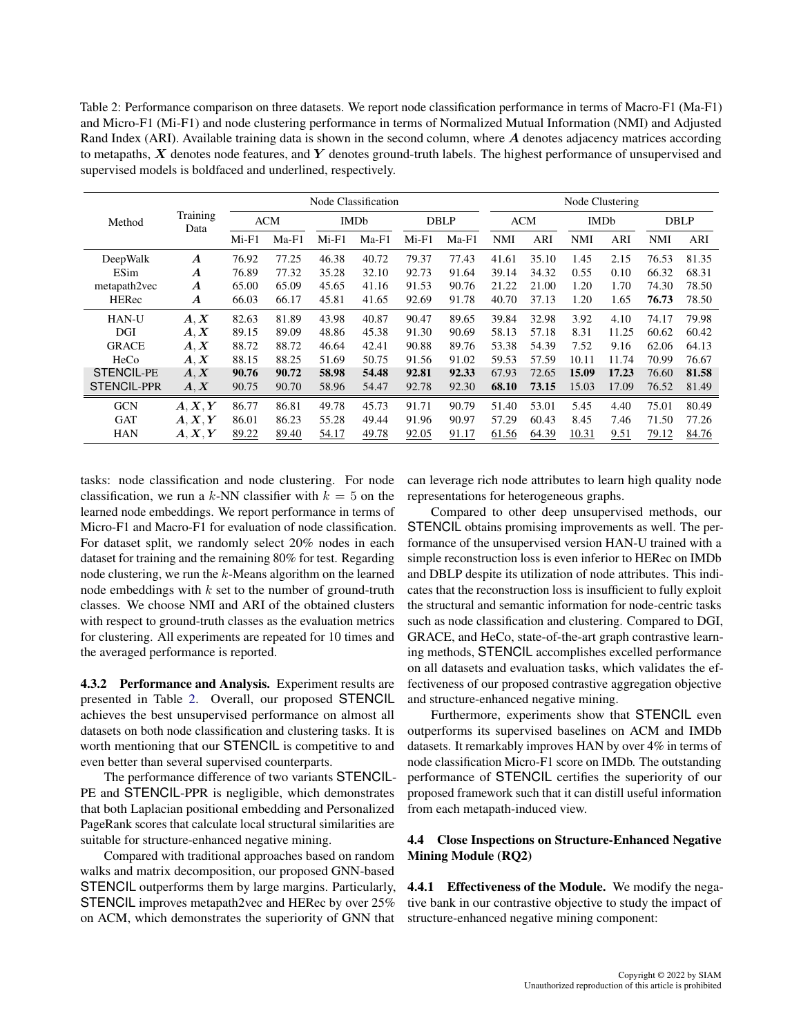<span id="page-5-0"></span>Table 2: Performance comparison on three datasets. We report node classification performance in terms of Macro-F1 (Ma-F1) and Micro-F1 (Mi-F1) and node clustering performance in terms of Normalized Mutual Information (NMI) and Adjusted Rand Index (ARI). Available training data is shown in the second column, where A denotes adjacency matrices according to metapaths,  $X$  denotes node features, and  $Y$  denotes ground-truth labels. The highest performance of unsupervised and supervised models is boldfaced and underlined, respectively.

|                    | Training<br>Data | Node Classification |         |             |         |             |         | Node Clustering |            |             |       |             |       |  |
|--------------------|------------------|---------------------|---------|-------------|---------|-------------|---------|-----------------|------------|-------------|-------|-------------|-------|--|
| Method             |                  | <b>ACM</b>          |         | <b>IMDb</b> |         | <b>DBLP</b> |         | <b>ACM</b>      |            | <b>IMDb</b> |       | <b>DBLP</b> |       |  |
|                    |                  | $Mi-F1$             | $Ma-F1$ | $Mi-F1$     | $Ma-F1$ | $Mi-F1$     | $Ma-F1$ | NMI             | <b>ARI</b> | <b>NMI</b>  | ARI   | NMI         | ARI   |  |
| DeepWalk           | $\boldsymbol{A}$ | 76.92               | 77.25   | 46.38       | 40.72   | 79.37       | 77.43   | 41.61           | 35.10      | 1.45        | 2.15  | 76.53       | 81.35 |  |
| ESim               | A                | 76.89               | 77.32   | 35.28       | 32.10   | 92.73       | 91.64   | 39.14           | 34.32      | 0.55        | 0.10  | 66.32       | 68.31 |  |
| metapath2vec       | $\boldsymbol{A}$ | 65.00               | 65.09   | 45.65       | 41.16   | 91.53       | 90.76   | 21.22           | 21.00      | 1.20        | 1.70  | 74.30       | 78.50 |  |
| <b>HERec</b>       | $\boldsymbol{A}$ | 66.03               | 66.17   | 45.81       | 41.65   | 92.69       | 91.78   | 40.70           | 37.13      | 1.20        | 1.65  | 76.73       | 78.50 |  |
| <b>HAN-U</b>       | A, X             | 82.63               | 81.89   | 43.98       | 40.87   | 90.47       | 89.65   | 39.84           | 32.98      | 3.92        | 4.10  | 74.17       | 79.98 |  |
| DGI                | A, X             | 89.15               | 89.09   | 48.86       | 45.38   | 91.30       | 90.69   | 58.13           | 57.18      | 8.31        | 11.25 | 60.62       | 60.42 |  |
| <b>GRACE</b>       | A, X             | 88.72               | 88.72   | 46.64       | 42.41   | 90.88       | 89.76   | 53.38           | 54.39      | 7.52        | 9.16  | 62.06       | 64.13 |  |
| HeCo               | A, X             | 88.15               | 88.25   | 51.69       | 50.75   | 91.56       | 91.02   | 59.53           | 57.59      | 10.11       | 11.74 | 70.99       | 76.67 |  |
| <b>STENCIL-PE</b>  | A, X             | 90.76               | 90.72   | 58.98       | 54.48   | 92.81       | 92.33   | 67.93           | 72.65      | 15.09       | 17.23 | 76.60       | 81.58 |  |
| <b>STENCIL-PPR</b> | A, X             | 90.75               | 90.70   | 58.96       | 54.47   | 92.78       | 92.30   | 68.10           | 73.15      | 15.03       | 17.09 | 76.52       | 81.49 |  |
| <b>GCN</b>         | A, X, Y          | 86.77               | 86.81   | 49.78       | 45.73   | 91.71       | 90.79   | 51.40           | 53.01      | 5.45        | 4.40  | 75.01       | 80.49 |  |
| <b>GAT</b>         | A, X, Y          | 86.01               | 86.23   | 55.28       | 49.44   | 91.96       | 90.97   | 57.29           | 60.43      | 8.45        | 7.46  | 71.50       | 77.26 |  |
| <b>HAN</b>         | A, X, Y          | 89.22               | 89.40   | 54.17       | 49.78   | 92.05       | 91.17   | 61.56           | 64.39      | 10.31       | 9.51  | 79.12       | 84.76 |  |

tasks: node classification and node clustering. For node classification, we run a k-NN classifier with  $k = 5$  on the learned node embeddings. We report performance in terms of Micro-F1 and Macro-F1 for evaluation of node classification. For dataset split, we randomly select 20% nodes in each dataset for training and the remaining 80% for test. Regarding node clustering, we run the k-Means algorithm on the learned node embeddings with  $k$  set to the number of ground-truth classes. We choose NMI and ARI of the obtained clusters with respect to ground-truth classes as the evaluation metrics for clustering. All experiments are repeated for 10 times and the averaged performance is reported.

4.3.2 Performance and Analysis. Experiment results are presented in Table [2.](#page-5-0) Overall, our proposed STENCIL achieves the best unsupervised performance on almost all datasets on both node classification and clustering tasks. It is worth mentioning that our STENCIL is competitive to and even better than several supervised counterparts.

The performance difference of two variants STENCIL-PE and STENCIL-PPR is negligible, which demonstrates that both Laplacian positional embedding and Personalized PageRank scores that calculate local structural similarities are suitable for structure-enhanced negative mining.

Compared with traditional approaches based on random walks and matrix decomposition, our proposed GNN-based STENCIL outperforms them by large margins. Particularly, STENCIL improves metapath2vec and HERec by over 25% on ACM, which demonstrates the superiority of GNN that

can leverage rich node attributes to learn high quality node representations for heterogeneous graphs.

Compared to other deep unsupervised methods, our STENCIL obtains promising improvements as well. The performance of the unsupervised version HAN-U trained with a simple reconstruction loss is even inferior to HERec on IMDb and DBLP despite its utilization of node attributes. This indicates that the reconstruction loss is insufficient to fully exploit the structural and semantic information for node-centric tasks such as node classification and clustering. Compared to DGI, GRACE, and HeCo, state-of-the-art graph contrastive learning methods, STENCIL accomplishes excelled performance on all datasets and evaluation tasks, which validates the effectiveness of our proposed contrastive aggregation objective and structure-enhanced negative mining.

Furthermore, experiments show that STENCIL even outperforms its supervised baselines on ACM and IMDb datasets. It remarkably improves HAN by over 4% in terms of node classification Micro-F1 score on IMDb. The outstanding performance of STENCIL certifies the superiority of our proposed framework such that it can distill useful information from each metapath-induced view.

## 4.4 Close Inspections on Structure-Enhanced Negative Mining Module (RQ2)

4.4.1 Effectiveness of the Module. We modify the negative bank in our contrastive objective to study the impact of structure-enhanced negative mining component: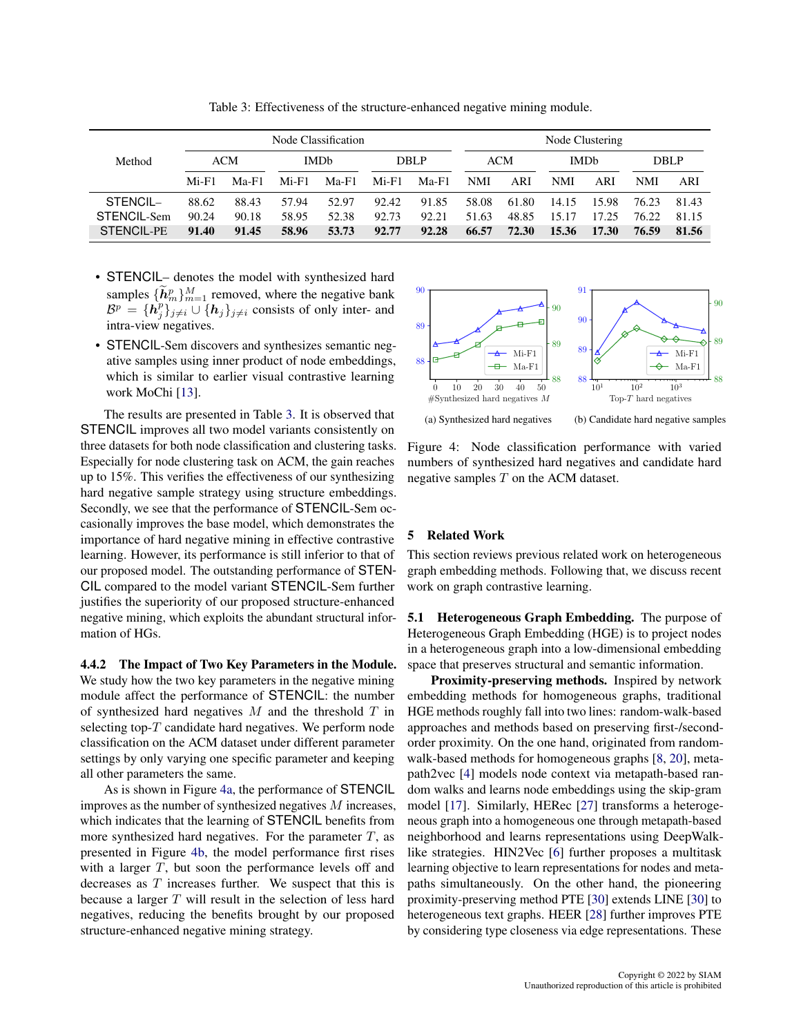<span id="page-6-0"></span>

|                   | Node Classification |         |                        |         |             |         | Node Clustering |       |                        |       |             |       |  |
|-------------------|---------------------|---------|------------------------|---------|-------------|---------|-----------------|-------|------------------------|-------|-------------|-------|--|
| Method            | <b>ACM</b>          |         | <b>IMD<sub>b</sub></b> |         | <b>DBLP</b> |         | <b>ACM</b>      |       | <b>IMD<sub>b</sub></b> |       | <b>DBLP</b> |       |  |
|                   | $Mi-F1$             | $Ma-F1$ | $Mi-F1$                | $Ma-F1$ | $Mi-F1$     | $Ma-F1$ | NMI             | ARI   | <b>NMI</b>             | ARI   | <b>NMI</b>  | ARI   |  |
| $STENCH -$        | 88.62               | 88.43   | 57.94                  | 52.97   | 92.42       | 91.85   | 58.08           | 61.80 | 14.15                  | 15.98 | 76.23       | 81.43 |  |
| STENCIL-Sem       | 90.24               | 90.18   | 58.95                  | 52.38   | 92.73       | 92.21   | 51.63           | 48.85 | 15.17                  | 17.25 | 76.22       | 81.15 |  |
| <b>STENCIL-PE</b> | 91.40               | 91.45   | 58.96                  | 53.73   | 92.77       | 92.28   | 66.57           | 72.30 | 15.36                  | 17.30 | 76.59       | 81.56 |  |

Table 3: Effectiveness of the structure-enhanced negative mining module.

- STENCIL– denotes the model with synthesized hard samples  $\{\tilde{h}_m^p\}_{m=1}^M$  removed, where the negative bank  $B^p = \{h_j^p\}_{j \neq i}$   $\cup \{h_j\}_{j \neq i}$  consists of only inter- and intra-view negatives.
- STENCIL-Sem discovers and synthesizes semantic negative samples using inner product of node embeddings, which is similar to earlier visual contrastive learning work MoChi [\[13\]](#page-8-19).

The results are presented in Table [3.](#page-6-0) It is observed that STENCIL improves all two model variants consistently on three datasets for both node classification and clustering tasks. Especially for node clustering task on ACM, the gain reaches up to 15%. This verifies the effectiveness of our synthesizing hard negative sample strategy using structure embeddings. Secondly, we see that the performance of STENCIL-Sem occasionally improves the base model, which demonstrates the importance of hard negative mining in effective contrastive learning. However, its performance is still inferior to that of our proposed model. The outstanding performance of STEN-CIL compared to the model variant STENCIL-Sem further justifies the superiority of our proposed structure-enhanced negative mining, which exploits the abundant structural information of HGs.

4.4.2 The Impact of Two Key Parameters in the Module. We study how the two key parameters in the negative mining module affect the performance of STENCIL: the number of synthesized hard negatives  $M$  and the threshold  $T$  in selecting top- $T$  candidate hard negatives. We perform node classification on the ACM dataset under different parameter settings by only varying one specific parameter and keeping all other parameters the same.

As is shown in Figure [4a,](#page-6-1) the performance of STENCIL improves as the number of synthesized negatives  $M$  increases, which indicates that the learning of STENCIL benefits from more synthesized hard negatives. For the parameter  $T$ , as presented in Figure [4b,](#page-6-2) the model performance first rises with a larger  $T$ , but soon the performance levels off and decreases as T increases further. We suspect that this is because a larger  $T$  will result in the selection of less hard negatives, reducing the benefits brought by our proposed structure-enhanced negative mining strategy.

<span id="page-6-1"></span>

<span id="page-6-2"></span>Figure 4: Node classification performance with varied numbers of synthesized hard negatives and candidate hard negative samples  $T$  on the ACM dataset.

### 5 Related Work

This section reviews previous related work on heterogeneous graph embedding methods. Following that, we discuss recent work on graph contrastive learning.

5.1 Heterogeneous Graph Embedding. The purpose of Heterogeneous Graph Embedding (HGE) is to project nodes in a heterogeneous graph into a low-dimensional embedding space that preserves structural and semantic information.

Proximity-preserving methods. Inspired by network embedding methods for homogeneous graphs, traditional HGE methods roughly fall into two lines: random-walk-based approaches and methods based on preserving first-/secondorder proximity. On the one hand, originated from randomwalk-based methods for homogeneous graphs [\[8,](#page-7-8) [20\]](#page-8-22), metapath2vec [\[4\]](#page-7-7) models node context via metapath-based random walks and learns node embeddings using the skip-gram model [\[17\]](#page-8-23). Similarly, HERec [\[27\]](#page-8-0) transforms a heterogeneous graph into a homogeneous one through metapath-based neighborhood and learns representations using DeepWalklike strategies. HIN2Vec [\[6\]](#page-7-9) further proposes a multitask learning objective to learn representations for nodes and metapaths simultaneously. On the other hand, the pioneering proximity-preserving method PTE [\[30\]](#page-8-27) extends LINE [\[30\]](#page-8-27) to heterogeneous text graphs. HEER [\[28\]](#page-8-7) further improves PTE by considering type closeness via edge representations. These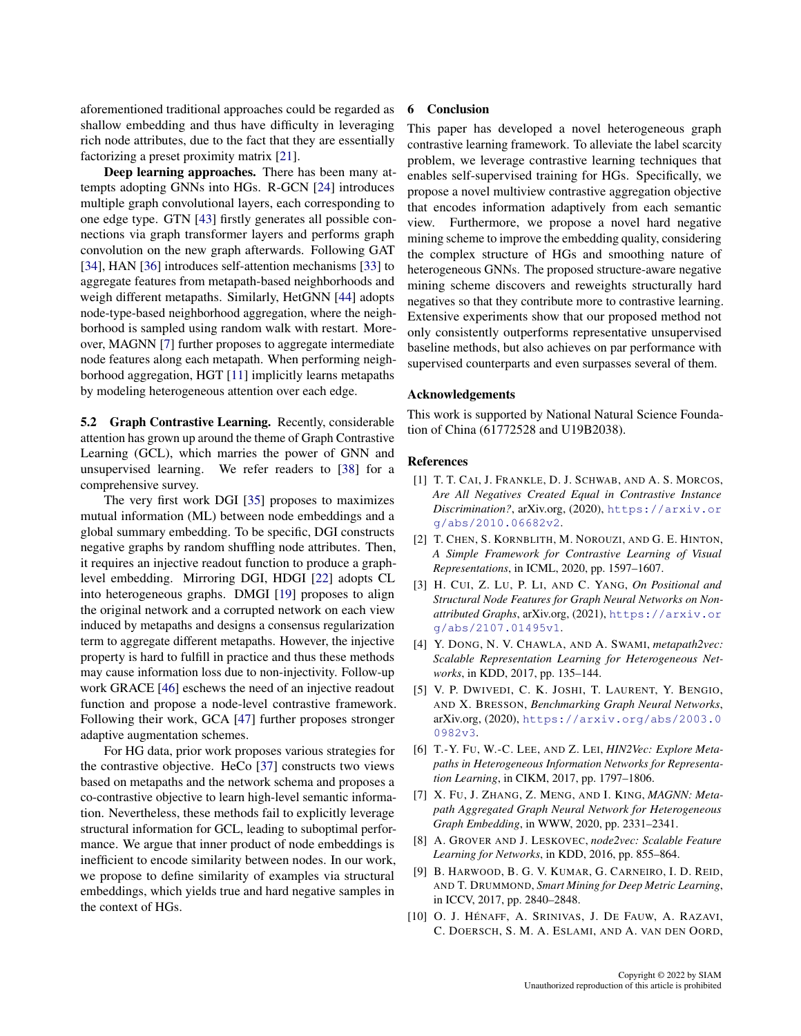aforementioned traditional approaches could be regarded as shallow embedding and thus have difficulty in leveraging rich node attributes, due to the fact that they are essentially factorizing a preset proximity matrix [\[21\]](#page-8-28).

Deep learning approaches. There has been many attempts adopting GNNs into HGs. R-GCN [\[24\]](#page-8-29) introduces multiple graph convolutional layers, each corresponding to one edge type. GTN [\[43\]](#page-8-30) firstly generates all possible connections via graph transformer layers and performs graph convolution on the new graph afterwards. Following GAT [\[34\]](#page-8-25), HAN [\[36\]](#page-8-4) introduces self-attention mechanisms [\[33\]](#page-8-31) to aggregate features from metapath-based neighborhoods and weigh different metapaths. Similarly, HetGNN [\[44\]](#page-8-32) adopts node-type-based neighborhood aggregation, where the neighborhood is sampled using random walk with restart. Moreover, MAGNN [\[7\]](#page-7-0) further proposes to aggregate intermediate node features along each metapath. When performing neighborhood aggregation, HGT [\[11\]](#page-8-33) implicitly learns metapaths by modeling heterogeneous attention over each edge.

5.2 Graph Contrastive Learning. Recently, considerable attention has grown up around the theme of Graph Contrastive Learning (GCL), which marries the power of GNN and unsupervised learning. We refer readers to [\[38\]](#page-8-34) for a comprehensive survey.

The very first work DGI [\[35\]](#page-8-3) proposes to maximizes mutual information (ML) between node embeddings and a global summary embedding. To be specific, DGI constructs negative graphs by random shuffling node attributes. Then, it requires an injective readout function to produce a graphlevel embedding. Mirroring DGI, HDGI [\[22\]](#page-8-35) adopts CL into heterogeneous graphs. DMGI [\[19\]](#page-8-36) proposes to align the original network and a corrupted network on each view induced by metapaths and designs a consensus regularization term to aggregate different metapaths. However, the injective property is hard to fulfill in practice and thus these methods may cause information loss due to non-injectivity. Follow-up work GRACE [\[46\]](#page-8-5) eschews the need of an injective readout function and propose a node-level contrastive framework. Following their work, GCA [\[47\]](#page-8-6) further proposes stronger adaptive augmentation schemes.

For HG data, prior work proposes various strategies for the contrastive objective. HeCo [\[37\]](#page-8-26) constructs two views based on metapaths and the network schema and proposes a co-contrastive objective to learn high-level semantic information. Nevertheless, these methods fail to explicitly leverage structural information for GCL, leading to suboptimal performance. We argue that inner product of node embeddings is inefficient to encode similarity between nodes. In our work, we propose to define similarity of examples via structural embeddings, which yields true and hard negative samples in the context of HGs.

#### 6 Conclusion

This paper has developed a novel heterogeneous graph contrastive learning framework. To alleviate the label scarcity problem, we leverage contrastive learning techniques that enables self-supervised training for HGs. Specifically, we propose a novel multiview contrastive aggregation objective that encodes information adaptively from each semantic view. Furthermore, we propose a novel hard negative mining scheme to improve the embedding quality, considering the complex structure of HGs and smoothing nature of heterogeneous GNNs. The proposed structure-aware negative mining scheme discovers and reweights structurally hard negatives so that they contribute more to contrastive learning. Extensive experiments show that our proposed method not only consistently outperforms representative unsupervised baseline methods, but also achieves on par performance with supervised counterparts and even surpasses several of them.

#### Acknowledgements

This work is supported by National Natural Science Foundation of China (61772528 and U19B2038).

#### References

- <span id="page-7-5"></span>[1] T. T. CAI, J. FRANKLE, D. J. SCHWAB, AND A. S. MORCOS, *Are All Negatives Created Equal in Contrastive Instance Discrimination?*, arXiv.org, (2020), [https://arxiv.or](https://arxiv.org/abs/2010.06682v2) [g/abs/2010.06682v2](https://arxiv.org/abs/2010.06682v2).
- <span id="page-7-4"></span>[2] T. CHEN, S. KORNBLITH, M. NOROUZI, AND G. E. HINTON, *A Simple Framework for Contrastive Learning of Visual Representations*, in ICML, 2020, pp. 1597–1607.
- <span id="page-7-1"></span>[3] H. CUI, Z. LU, P. LI, AND C. YANG, *On Positional and Structural Node Features for Graph Neural Networks on Nonattributed Graphs*, arXiv.org, (2021), [https://arxiv.or](https://arxiv.org/abs/2107.01495v1) [g/abs/2107.01495v1](https://arxiv.org/abs/2107.01495v1).
- <span id="page-7-7"></span>[4] Y. DONG, N. V. CHAWLA, AND A. SWAMI, *metapath2vec: Scalable Representation Learning for Heterogeneous Networks*, in KDD, 2017, pp. 135–144.
- <span id="page-7-2"></span>[5] V. P. DWIVEDI, C. K. JOSHI, T. LAURENT, Y. BENGIO, AND X. BRESSON, *Benchmarking Graph Neural Networks*, arXiv.org, (2020), [https://arxiv.org/abs/2003.0](https://arxiv.org/abs/2003.00982v3) [0982v3](https://arxiv.org/abs/2003.00982v3).
- <span id="page-7-9"></span>[6] T.-Y. FU, W.-C. LEE, AND Z. LEI, *HIN2Vec: Explore Metapaths in Heterogeneous Information Networks for Representation Learning*, in CIKM, 2017, pp. 1797–1806.
- <span id="page-7-0"></span>[7] X. FU, J. ZHANG, Z. MENG, AND I. KING, *MAGNN: Metapath Aggregated Graph Neural Network for Heterogeneous Graph Embedding*, in WWW, 2020, pp. 2331–2341.
- <span id="page-7-8"></span>[8] A. GROVER AND J. LESKOVEC, *node2vec: Scalable Feature Learning for Networks*, in KDD, 2016, pp. 855–864.
- <span id="page-7-6"></span>[9] B. HARWOOD, B. G. V. KUMAR, G. CARNEIRO, I. D. REID, AND T. DRUMMOND, *Smart Mining for Deep Metric Learning*, in ICCV, 2017, pp. 2840–2848.
- <span id="page-7-3"></span>[10] O. J. HÉNAFF, A. SRINIVAS, J. DE FAUW, A. RAZAVI, C. DOERSCH, S. M. A. ESLAMI, AND A. VAN DEN OORD,